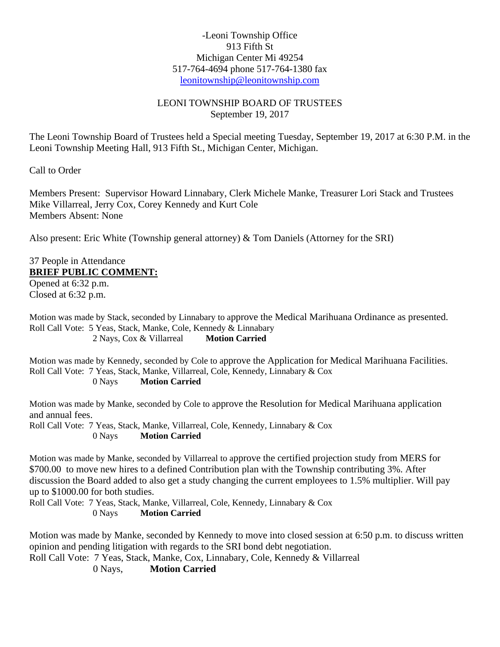## -Leoni Township Office 913 Fifth St Michigan Center Mi 49254 517-764-4694 phone 517-764-1380 fax [leonitownship@leonitownship.com](mailto:leonitownship@leonitownship.com)

## LEONI TOWNSHIP BOARD OF TRUSTEES September 19, 2017

The Leoni Township Board of Trustees held a Special meeting Tuesday, September 19, 2017 at 6:30 P.M. in the Leoni Township Meeting Hall, 913 Fifth St., Michigan Center, Michigan.

Call to Order

Members Present: Supervisor Howard Linnabary, Clerk Michele Manke, Treasurer Lori Stack and Trustees Mike Villarreal, Jerry Cox, Corey Kennedy and Kurt Cole Members Absent: None

Also present: Eric White (Township general attorney) & Tom Daniels (Attorney for the SRI)

## 37 People in Attendance **BRIEF PUBLIC COMMENT:**

Opened at 6:32 p.m. Closed at 6:32 p.m.

Motion was made by Stack, seconded by Linnabary to approve the Medical Marihuana Ordinance as presented. Roll Call Vote: 5 Yeas, Stack, Manke, Cole, Kennedy & Linnabary 2 Nays, Cox & Villarreal **Motion Carried**

Motion was made by Kennedy, seconded by Cole to approve the Application for Medical Marihuana Facilities. Roll Call Vote: 7 Yeas, Stack, Manke, Villarreal, Cole, Kennedy, Linnabary & Cox 0 Nays **Motion Carried**

Motion was made by Manke, seconded by Cole to approve the Resolution for Medical Marihuana application and annual fees.

Roll Call Vote: 7 Yeas, Stack, Manke, Villarreal, Cole, Kennedy, Linnabary & Cox 0 Nays **Motion Carried**

Motion was made by Manke, seconded by Villarreal to approve the certified projection study from MERS for \$700.00 to move new hires to a defined Contribution plan with the Township contributing 3%. After discussion the Board added to also get a study changing the current employees to 1.5% multiplier. Will pay up to \$1000.00 for both studies.

Roll Call Vote: 7 Yeas, Stack, Manke, Villarreal, Cole, Kennedy, Linnabary & Cox 0 Nays **Motion Carried**

Motion was made by Manke, seconded by Kennedy to move into closed session at 6:50 p.m. to discuss written opinion and pending litigation with regards to the SRI bond debt negotiation.

Roll Call Vote: 7 Yeas, Stack, Manke, Cox, Linnabary, Cole, Kennedy & Villarreal

0 Nays, **Motion Carried**